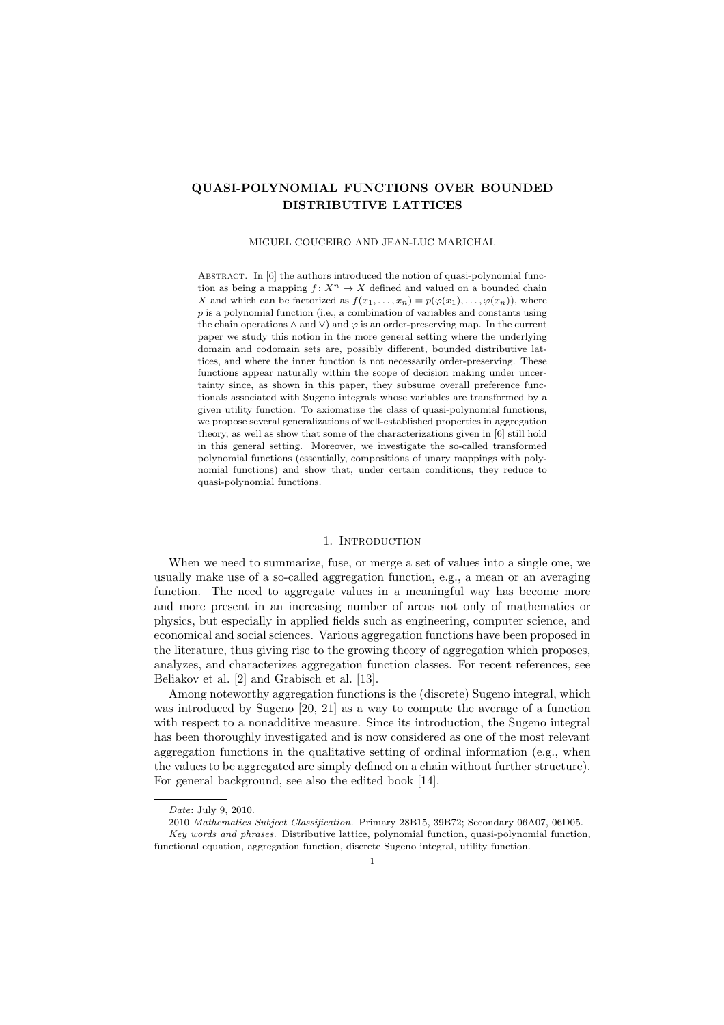# QUASI-POLYNOMIAL FUNCTIONS OVER BOUNDED DISTRIBUTIVE LATTICES

### MIGUEL COUCEIRO AND JEAN-LUC MARICHAL

ABSTRACT. In [6] the authors introduced the notion of quasi-polynomial function as being a mapping  $f: X^n \to X$  defined and valued on a bounded chain X and which can be factorized as  $f(x_1, \ldots, x_n) = p(\varphi(x_1), \ldots, \varphi(x_n))$ , where p is a polynomial function (i.e., a combination of variables and constants using the chain operations  $\wedge$  and  $\vee$ ) and  $\varphi$  is an order-preserving map. In the current paper we study this notion in the more general setting where the underlying domain and codomain sets are, possibly different, bounded distributive lattices, and where the inner function is not necessarily order-preserving. These functions appear naturally within the scope of decision making under uncertainty since, as shown in this paper, they subsume overall preference functionals associated with Sugeno integrals whose variables are transformed by a given utility function. To axiomatize the class of quasi-polynomial functions, we propose several generalizations of well-established properties in aggregation theory, as well as show that some of the characterizations given in [6] still hold in this general setting. Moreover, we investigate the so-called transformed polynomial functions (essentially, compositions of unary mappings with polynomial functions) and show that, under certain conditions, they reduce to quasi-polynomial functions.

## 1. INTRODUCTION

When we need to summarize, fuse, or merge a set of values into a single one, we usually make use of a so-called aggregation function, e.g., a mean or an averaging function. The need to aggregate values in a meaningful way has become more and more present in an increasing number of areas not only of mathematics or physics, but especially in applied fields such as engineering, computer science, and economical and social sciences. Various aggregation functions have been proposed in the literature, thus giving rise to the growing theory of aggregation which proposes, analyzes, and characterizes aggregation function classes. For recent references, see Beliakov et al. [2] and Grabisch et al. [13].

Among noteworthy aggregation functions is the (discrete) Sugeno integral, which was introduced by Sugeno [20, 21] as a way to compute the average of a function with respect to a nonadditive measure. Since its introduction, the Sugeno integral has been thoroughly investigated and is now considered as one of the most relevant aggregation functions in the qualitative setting of ordinal information (e.g., when the values to be aggregated are simply defined on a chain without further structure). For general background, see also the edited book [14].

Date: July 9, 2010.

<sup>2010</sup> Mathematics Subject Classification. Primary 28B15, 39B72; Secondary 06A07, 06D05.

Key words and phrases. Distributive lattice, polynomial function, quasi-polynomial function, functional equation, aggregation function, discrete Sugeno integral, utility function.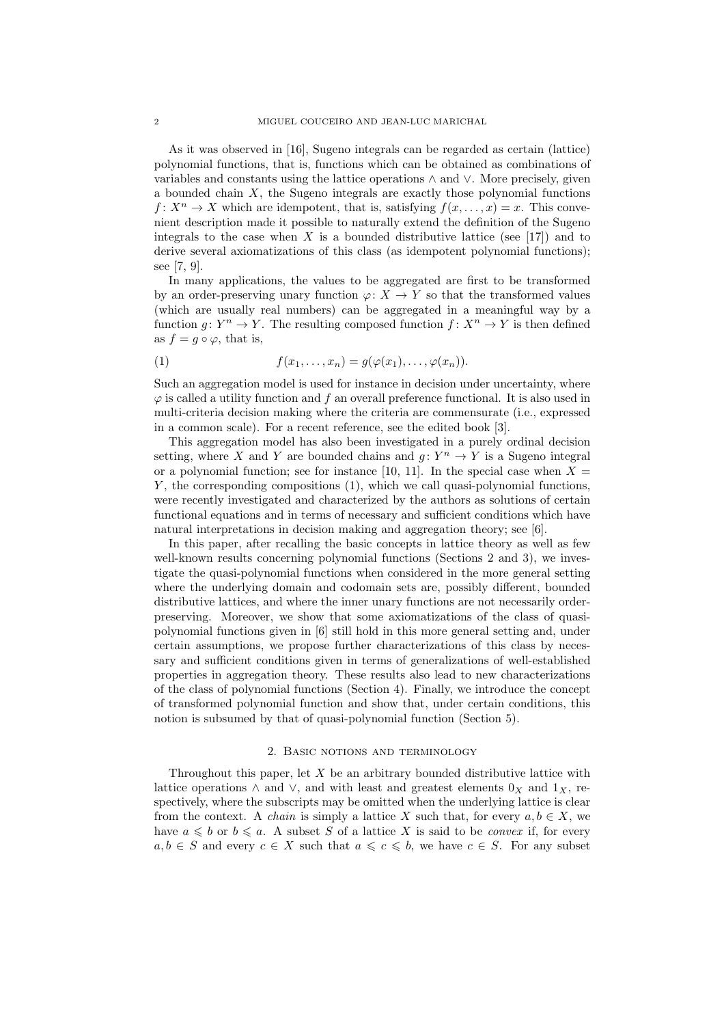As it was observed in [16], Sugeno integrals can be regarded as certain (lattice) polynomial functions, that is, functions which can be obtained as combinations of variables and constants using the lattice operations ∧ and ∨. More precisely, given a bounded chain  $X$ , the Sugeno integrals are exactly those polynomial functions  $f: X^n \to X$  which are idempotent, that is, satisfying  $f(x, \ldots, x) = x$ . This convenient description made it possible to naturally extend the definition of the Sugeno integrals to the case when  $X$  is a bounded distributive lattice (see [17]) and to derive several axiomatizations of this class (as idempotent polynomial functions); see [7, 9].

In many applications, the values to be aggregated are first to be transformed by an order-preserving unary function  $\varphi: X \to Y$  so that the transformed values (which are usually real numbers) can be aggregated in a meaningful way by a function  $g: Y^n \to Y$ . The resulting composed function  $f: X^n \to Y$  is then defined as  $f = g \circ \varphi$ , that is,

(1) 
$$
f(x_1,\ldots,x_n)=g(\varphi(x_1),\ldots,\varphi(x_n)).
$$

Such an aggregation model is used for instance in decision under uncertainty, where  $\varphi$  is called a utility function and f an overall preference functional. It is also used in multi-criteria decision making where the criteria are commensurate (i.e., expressed in a common scale). For a recent reference, see the edited book [3].

This aggregation model has also been investigated in a purely ordinal decision setting, where X and Y are bounded chains and  $g: Y^n \to Y$  is a Sugeno integral or a polynomial function; see for instance [10, 11]. In the special case when  $X =$  $Y$ , the corresponding compositions  $(1)$ , which we call quasi-polynomial functions, were recently investigated and characterized by the authors as solutions of certain functional equations and in terms of necessary and sufficient conditions which have natural interpretations in decision making and aggregation theory; see [6].

In this paper, after recalling the basic concepts in lattice theory as well as few well-known results concerning polynomial functions (Sections 2 and 3), we investigate the quasi-polynomial functions when considered in the more general setting where the underlying domain and codomain sets are, possibly different, bounded distributive lattices, and where the inner unary functions are not necessarily orderpreserving. Moreover, we show that some axiomatizations of the class of quasipolynomial functions given in [6] still hold in this more general setting and, under certain assumptions, we propose further characterizations of this class by necessary and sufficient conditions given in terms of generalizations of well-established properties in aggregation theory. These results also lead to new characterizations of the class of polynomial functions (Section 4). Finally, we introduce the concept of transformed polynomial function and show that, under certain conditions, this notion is subsumed by that of quasi-polynomial function (Section 5).

## 2. Basic notions and terminology

Throughout this paper, let  $X$  be an arbitrary bounded distributive lattice with lattice operations  $\land$  and  $\lor$ , and with least and greatest elements  $0_X$  and  $1_X$ , respectively, where the subscripts may be omitted when the underlying lattice is clear from the context. A *chain* is simply a lattice X such that, for every  $a, b \in X$ , we have  $a \leq b$  or  $b \leq a$ . A subset S of a lattice X is said to be *convex* if, for every  $a, b \in S$  and every  $c \in X$  such that  $a \leqslant c \leqslant b$ , we have  $c \in S$ . For any subset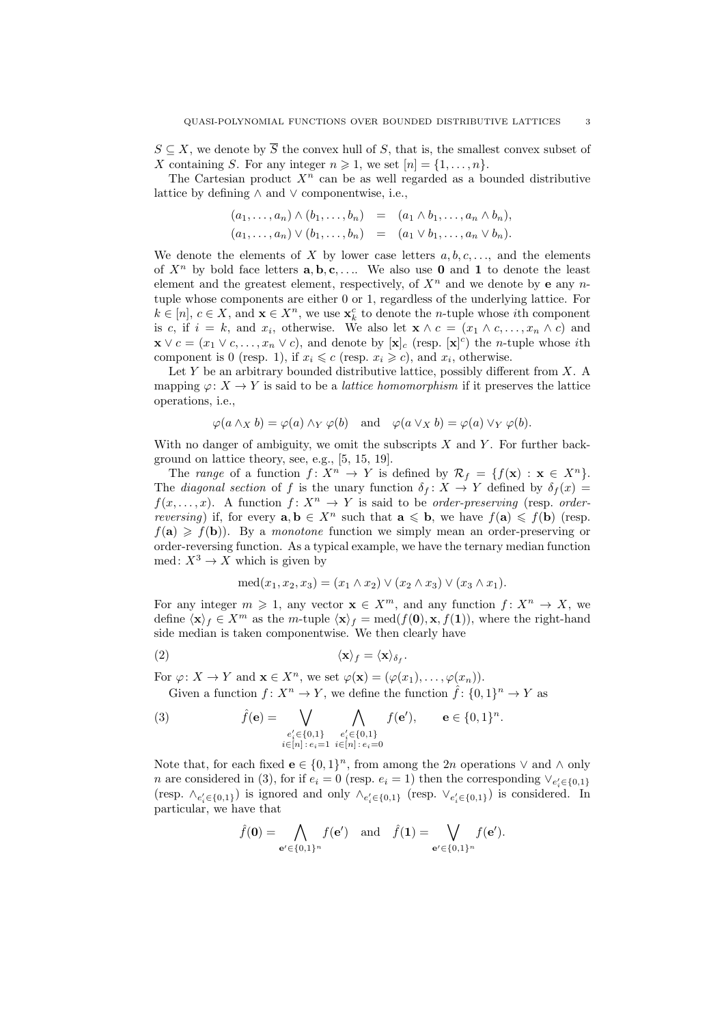$S \subseteq X$ , we denote by  $\overline{S}$  the convex hull of S, that is, the smallest convex subset of X containing S. For any integer  $n \geq 1$ , we set  $[n] = \{1, \ldots, n\}$ .

The Cartesian product  $X<sup>n</sup>$  can be as well regarded as a bounded distributive lattice by defining ∧ and ∨ componentwise, i.e.,

$$
(a_1, \ldots, a_n) \wedge (b_1, \ldots, b_n) = (a_1 \wedge b_1, \ldots, a_n \wedge b_n),
$$
  

$$
(a_1, \ldots, a_n) \vee (b_1, \ldots, b_n) = (a_1 \vee b_1, \ldots, a_n \vee b_n).
$$

We denote the elements of X by lower case letters  $a, b, c, \ldots$ , and the elements of  $X^n$  by bold face letters  $\mathbf{a}, \mathbf{b}, \mathbf{c}, \ldots$  We also use **0** and **1** to denote the least element and the greatest element, respectively, of  $X<sup>n</sup>$  and we denote by **e** any *n*tuple whose components are either 0 or 1, regardless of the underlying lattice. For  $k \in [n], c \in X$ , and  $\mathbf{x} \in X^n$ , we use  $\mathbf{x}_k^c$  to denote the *n*-tuple whose *i*th component is c, if  $i = k$ , and  $x_i$ , otherwise. We also let  $\mathbf{x} \wedge c = (x_1 \wedge c, \dots, x_n \wedge c)$  and  $\mathbf{x} \vee c = (x_1 \vee c, \dots, x_n \vee c)$ , and denote by  $[\mathbf{x}]_c$  (resp.  $[\mathbf{x}]^c$ ) the *n*-tuple whose *i*th component is 0 (resp. 1), if  $x_i \leq c$  (resp.  $x_i \geq c$ ), and  $x_i$ , otherwise.

Let  $Y$  be an arbitrary bounded distributive lattice, possibly different from  $X$ . A mapping  $\varphi: X \to Y$  is said to be a *lattice homomorphism* if it preserves the lattice operations, i.e.,

$$
\varphi(a \wedge_X b) = \varphi(a) \wedge_Y \varphi(b)
$$
 and  $\varphi(a \vee_X b) = \varphi(a) \vee_Y \varphi(b)$ .

With no danger of ambiguity, we omit the subscripts  $X$  and  $Y$ . For further background on lattice theory, see, e.g., [5, 15, 19].

The range of a function  $f: X^n \to Y$  is defined by  $\mathcal{R}_f = \{f(\mathbf{x}) : \mathbf{x} \in X^n\}.$ The diagonal section of f is the unary function  $\delta_f : X \to Y$  defined by  $\delta_f(x) =$  $f(x, \ldots, x)$ . A function  $f: X^n \to Y$  is said to be *order-preserving* (resp. *orderreversing*) if, for every  $\mathbf{a}, \mathbf{b} \in X^n$  such that  $\mathbf{a} \leq \mathbf{b}$ , we have  $f(\mathbf{a}) \leq f(\mathbf{b})$  (resp.  $f(\mathbf{a}) \geq f(\mathbf{b})$ . By a monotone function we simply mean an order-preserving or order-reversing function. As a typical example, we have the ternary median function med:  $X^3 \to X$  which is given by

$$
med(x_1, x_2, x_3) = (x_1 \wedge x_2) \vee (x_2 \wedge x_3) \vee (x_3 \wedge x_1).
$$

For any integer  $m \geq 1$ , any vector  $\mathbf{x} \in X^m$ , and any function  $f: X^n \to X$ , we define  $\langle x \rangle_f \in X^m$  as the m-tuple  $\langle x \rangle_f = \text{med}(f(0), x, f(1))$ , where the right-hand side median is taken componentwise. We then clearly have

$$
\langle \mathbf{x} \rangle_f = \langle \mathbf{x} \rangle_{\delta_f}.
$$

For  $\varphi: X \to Y$  and  $\mathbf{x} \in X^n$ , we set  $\varphi(\mathbf{x}) = (\varphi(x_1), \ldots, \varphi(x_n)).$ 

Given a function  $f: X^n \to Y$ , we define the function  $\hat{f}: \{0,1\}^n \to Y$  as  $\mathbf{A}$ 

(3) 
$$
\hat{f}(\mathbf{e}) = \bigvee_{\substack{e'_i \in \{0,1\} \\ i \in [n] : e_i = 1}} \bigwedge_{\substack{e'_i \in \{0,1\} \\ i \in [n] : e_i = 0}} f(\mathbf{e}'), \qquad \mathbf{e} \in \{0,1\}^n.
$$

Note that, for each fixed  $e \in \{0,1\}^n$ , from among the 2*n* operations  $\vee$  and  $\wedge$  only n are considered in (3), for if  $e_i = 0$  (resp.  $e_i = 1$ ) then the corresponding  $\vee_{e'_i \in \{0,1\}}$ (resp.  $\wedge_{e'_i \in \{0,1\}}$ ) is ignored and only  $\wedge_{e'_i \in \{0,1\}}$  (resp.  $\vee_{e'_i \in \{0,1\}}$ ) is considered. In particular, we have that

$$
\hat{f}(\mathbf{0}) = \bigwedge_{\mathbf{e}' \in \{0,1\}^n} f(\mathbf{e}') \quad \text{and} \quad \hat{f}(\mathbf{1}) = \bigvee_{\mathbf{e}' \in \{0,1\}^n} f(\mathbf{e}').
$$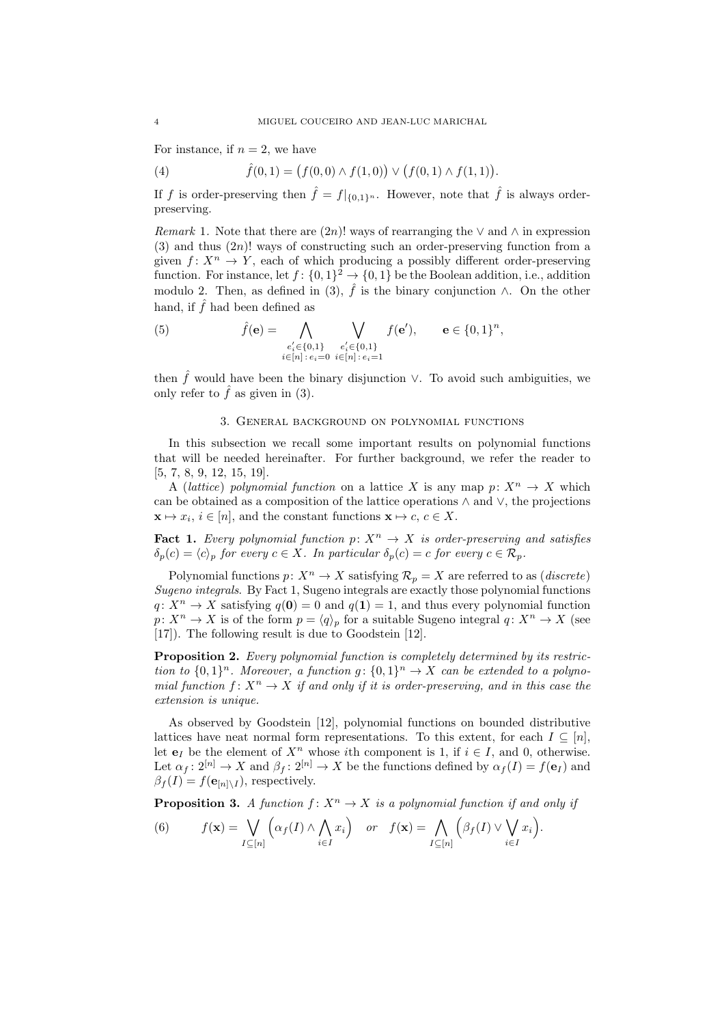For instance, if  $n = 2$ , we have

(4) 
$$
\hat{f}(0,1) = (f(0,0) \wedge f(1,0)) \vee (f(0,1) \wedge f(1,1)).
$$

If f is order-preserving then  $\hat{f} = f|_{\{0,1\}^n}$ . However, note that  $\hat{f}$  is always orderpreserving.

Remark 1. Note that there are  $(2n)!$  ways of rearranging the  $\vee$  and  $\wedge$  in expression  $(3)$  and thus  $(2n)!$  ways of constructing such an order-preserving function from a given  $f: X^n \to Y$ , each of which producing a possibly different order-preserving function. For instance, let  $f: \{0,1\}^2 \to \{0,1\}$  be the Boolean addition, i.e., addition modulo 2. Then, as defined in (3),  $\hat{f}$  is the binary conjunction  $\wedge$ . On the other hand, if  $\hat{f}$  had been defined as

(5) 
$$
\hat{f}(\mathbf{e}) = \bigwedge_{\substack{e'_i \in \{0,1\} \\ i \in [n]: e_i = 0}} \bigvee_{\substack{e'_i \in \{0,1\} \\ i \in [n]: e_i = 1}} f(\mathbf{e}'), \qquad \mathbf{e} \in \{0,1\}^n,
$$

then  $\hat{f}$  would have been the binary disjunction  $\vee$ . To avoid such ambiguities, we only refer to  $\hat{f}$  as given in (3).

## 3. General background on polynomial functions

In this subsection we recall some important results on polynomial functions that will be needed hereinafter. For further background, we refer the reader to [5, 7, 8, 9, 12, 15, 19].

A (lattice) polynomial function on a lattice X is any map  $p: X^n \to X$  which can be obtained as a composition of the lattice operations ∧ and ∨, the projections  $\mathbf{x} \mapsto x_i, i \in [n]$ , and the constant functions  $\mathbf{x} \mapsto c, c \in X$ .

**Fact 1.** Every polynomial function  $p: X^n \to X$  is order-preserving and satisfies  $\delta_p(c) = \langle c \rangle_p$  for every  $c \in X$ . In particular  $\delta_p(c) = c$  for every  $c \in \mathcal{R}_p$ .

Polynomial functions  $p: X^n \to X$  satisfying  $\mathcal{R}_p = X$  are referred to as (*discrete*) Sugeno integrals. By Fact 1, Sugeno integrals are exactly those polynomial functions  $q: X^n \to X$  satisfying  $q(0) = 0$  and  $q(1) = 1$ , and thus every polynomial function  $p: X^n \to X$  is of the form  $p = \langle q \rangle_p$  for a suitable Sugeno integral  $q: X^n \to X$  (see [17]). The following result is due to Goodstein [12].

Proposition 2. Every polynomial function is completely determined by its restriction to  $\{0,1\}^n$ . Moreover, a function  $g: \{0,1\}^n \to X$  can be extended to a polynomial function  $f: X^n \to X$  if and only if it is order-preserving, and in this case the extension is unique.

As observed by Goodstein [12], polynomial functions on bounded distributive lattices have neat normal form representations. To this extent, for each  $I \subseteq [n]$ , let  $e_I$  be the element of  $X^n$  whose *i*th component is 1, if  $i \in I$ , and 0, otherwise. Let  $\alpha_f : 2^{[n]} \to X$  and  $\beta_f : 2^{[n]} \to X$  be the functions defined by  $\alpha_f(I) = f(e_I)$  and  $\beta_f(I) = f(\mathbf{e}_{[n]\setminus I})$ , respectively.

**Proposition 3.** A function  $f: X^n \to X$  is a polynomial function if and only if ³ ^ ´ ³ \_ ´

(6) 
$$
f(\mathbf{x}) = \bigvee_{I \subseteq [n]} \left( \alpha_f(I) \wedge \bigwedge_{i \in I} x_i \right) \quad \text{or} \quad f(\mathbf{x}) = \bigwedge_{I \subseteq [n]} \left( \beta_f(I) \vee \bigvee_{i \in I} x_i \right).
$$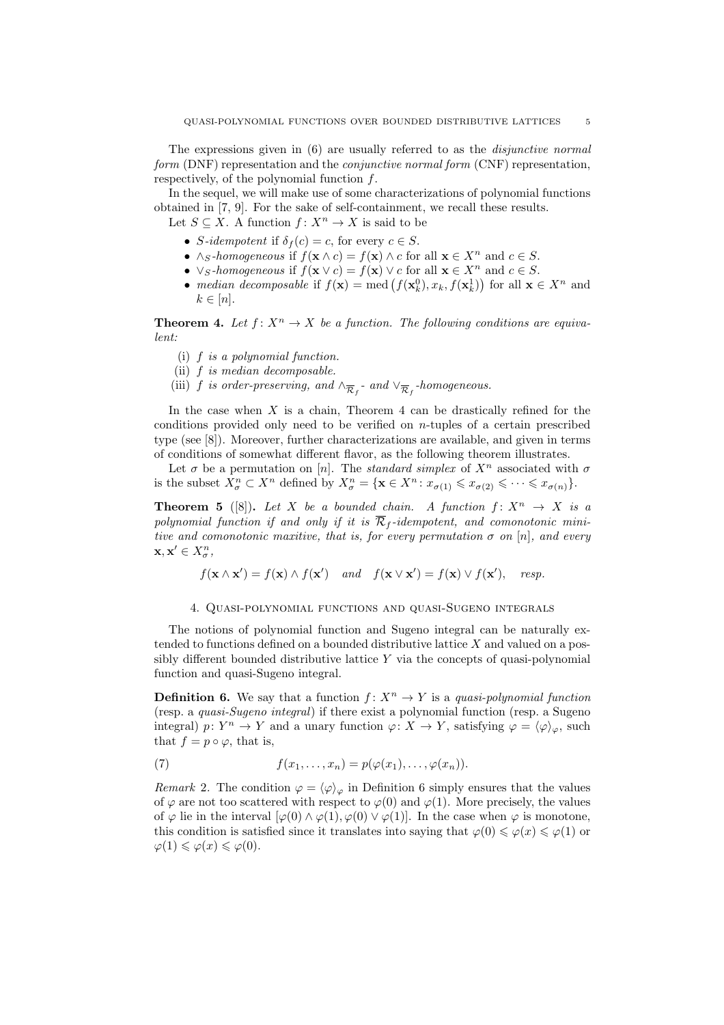The expressions given in (6) are usually referred to as the disjunctive normal form (DNF) representation and the conjunctive normal form (CNF) representation, respectively, of the polynomial function  $f$ .

In the sequel, we will make use of some characterizations of polynomial functions obtained in [7, 9]. For the sake of self-containment, we recall these results. Let  $S \subseteq X$ . A function  $f: X^n \to X$  is said to be

- S-idempotent if  $\delta_f(c) = c$ , for every  $c \in S$ .
- ∧s-homogeneous if  $f(\mathbf{x} \wedge c) = f(\mathbf{x}) \wedge c$  for all  $\mathbf{x} \in X^n$  and  $c \in S$ .
- $\vee_S\text{-}homogeneous$  if  $f(\mathbf{x} \vee c) = f(\mathbf{x}) \vee c$  for all  $\mathbf{x} \in X^n$  and  $c \in S$ .
- $\vee$  s-homogeneous if  $f(\mathbf{x}) \in f(\mathbf{x}) \setminus c$  for all  $\mathbf{x} \in X^{\infty}$  and  $c \in S$ .<br>• median decomposable if  $f(\mathbf{x}) = \text{med}(f(\mathbf{x}_k^0), x_k, f(\mathbf{x}_k^1))$  for all  $\mathbf{x} \in X^n$  and  $k \in [n]$ .

**Theorem 4.** Let  $f: X^n \to X$  be a function. The following conditions are equivalent:

- (i) f is a polynomial function.
- (ii) f is median decomposable.
- (iii) f is order-preserving, and  $\wedge_{\overline{\mathcal{R}}_f}$  and  $\vee_{\overline{\mathcal{R}}_f}$ -homogeneous.

In the case when  $X$  is a chain, Theorem 4 can be drastically refined for the conditions provided only need to be verified on n-tuples of a certain prescribed type (see [8]). Moreover, further characterizations are available, and given in terms of conditions of somewhat different flavor, as the following theorem illustrates.

Let  $\sigma$  be a permutation on [n]. The standard simplex of  $X^n$  associated with  $\sigma$ is the subset  $X_{\sigma}^n \subset X^n$  defined by  $X_{\sigma}^n = {\mathbf{x} \in X^n : x_{\sigma(1)} \leqslant x_{\sigma(2)} \leqslant \cdots \leqslant x_{\sigma(n)}}$ .

**Theorem 5** ([8]). Let X be a bounded chain. A function  $f: X^n \to X$  is a polynomial function if and only if it is  $\overline{\mathcal{R}}_f$ -idempotent, and comonotonic minitive and comonotonic maxitive, that is, for every permutation  $\sigma$  on [n], and every  $\mathbf{x}, \mathbf{x}' \in X_{\sigma}^n$ 

$$
f(\mathbf{x} \wedge \mathbf{x}') = f(\mathbf{x}) \wedge f(\mathbf{x}') \quad and \quad f(\mathbf{x} \vee \mathbf{x}') = f(\mathbf{x}) \vee f(\mathbf{x}'), \quad resp.
$$

## 4. Quasi-polynomial functions and quasi-Sugeno integrals

The notions of polynomial function and Sugeno integral can be naturally extended to functions defined on a bounded distributive lattice  $X$  and valued on a possibly different bounded distributive lattice  $Y$  via the concepts of quasi-polynomial function and quasi-Sugeno integral.

**Definition 6.** We say that a function  $f: X^n \to Y$  is a quasi-polynomial function (resp. a quasi-Sugeno integral) if there exist a polynomial function (resp. a Sugeno integral)  $p: Y^n \to Y$  and a unary function  $\varphi: X \to Y$ , satisfying  $\varphi = \langle \varphi \rangle_{\varphi}$ , such that  $f = p \circ \varphi$ , that is,

(7) 
$$
f(x_1,\ldots,x_n)=p(\varphi(x_1),\ldots,\varphi(x_n)).
$$

Remark 2. The condition  $\varphi = \langle \varphi \rangle_{\varphi}$  in Definition 6 simply ensures that the values of  $\varphi$  are not too scattered with respect to  $\varphi(0)$  and  $\varphi(1)$ . More precisely, the values of  $\varphi$  lie in the interval  $[\varphi(0) \wedge \varphi(1), \varphi(0) \vee \varphi(1)]$ . In the case when  $\varphi$  is monotone, this condition is satisfied since it translates into saying that  $\varphi(0) \leq \varphi(x) \leq \varphi(1)$  or  $\varphi(1) \leqslant \varphi(x) \leqslant \varphi(0).$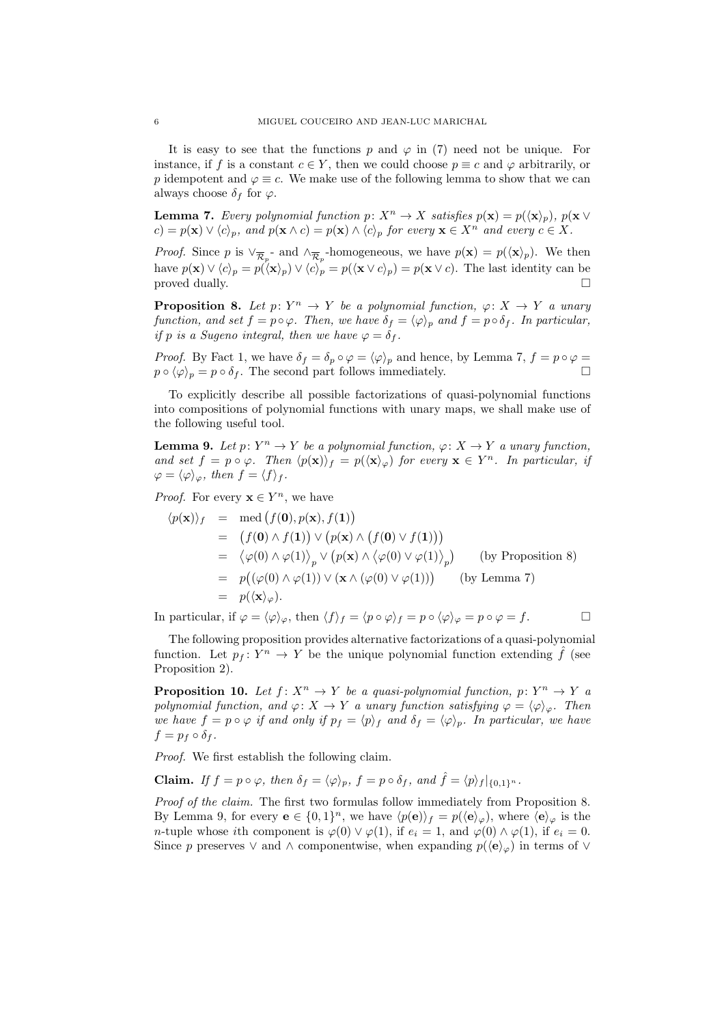It is easy to see that the functions p and  $\varphi$  in (7) need not be unique. For instance, if f is a constant  $c \in Y$ , then we could choose  $p \equiv c$  and  $\varphi$  arbitrarily, or p idempotent and  $\varphi \equiv c$ . We make use of the following lemma to show that we can always choose  $\delta_f$  for  $\varphi$ .

**Lemma 7.** Every polynomial function  $p: X^n \to X$  satisfies  $p(\mathbf{x}) = p(\langle \mathbf{x} \rangle_n)$ ,  $p(\mathbf{x} \vee \mathbf{y})$  $c) = p(\mathbf{x}) \vee \langle c \rangle_p$ , and  $p(\mathbf{x} \wedge c) = p(\mathbf{x}) \wedge \langle c \rangle_p$  for every  $\mathbf{x} \in X^n$  and every  $c \in X$ .

*Proof.* Since p is  $\vee_{\overline{\mathcal{R}}_p}$  and  $\wedge_{\overline{\mathcal{R}}_p}$ -homogeneous, we have  $p(\mathbf{x}) = p(\langle \mathbf{x} \rangle_p)$ . We then have  $p(\mathbf{x}) \vee \langle c \rangle_p = p(\langle \mathbf{x} \rangle_p) \vee \langle c \rangle_p = p(\langle \mathbf{x} \vee c \rangle_p) = p(\mathbf{x} \vee c)$ . The last identity can be  $\Box$  proved dually.

**Proposition 8.** Let  $p: Y^n \to Y$  be a polynomial function,  $\varphi: X \to Y$  a unary function, and set  $f = p \circ \varphi$ . Then, we have  $\delta_f = \langle \varphi \rangle_p$  and  $f = p \circ \delta_f$ . In particular, if p is a Sugeno integral, then we have  $\varphi = \delta_f$ .

*Proof.* By Fact 1, we have  $\delta_f = \delta_p \circ \varphi = \langle \varphi \rangle_p$  and hence, by Lemma 7,  $f = p \circ \varphi =$  $p \circ \langle \varphi \rangle_p = p \circ \delta_f$ . The second part follows immediately.

To explicitly describe all possible factorizations of quasi-polynomial functions into compositions of polynomial functions with unary maps, we shall make use of the following useful tool.

**Lemma 9.** Let  $p: Y^n \to Y$  be a polynomial function,  $\varphi: X \to Y$  a unary function, and set  $f = p \circ \varphi$ . Then  $\langle p(\mathbf{x}) \rangle_f = p(\langle \mathbf{x} \rangle_{\varphi})$  for every  $\mathbf{x} \in Y^n$ . In particular, if  $\varphi = \langle \varphi \rangle_{\varphi}, \text{ then } f = \langle f \rangle_{f}.$ 

*Proof.* For every  $\mathbf{x} \in Y^n$ , we have

$$
\langle p(\mathbf{x}) \rangle_f = \text{med} (f(\mathbf{0}), p(\mathbf{x}), f(\mathbf{1}))
$$
  
\n
$$
= (f(\mathbf{0}) \wedge f(\mathbf{1})) \vee (p(\mathbf{x}) \wedge (f(\mathbf{0}) \vee f(\mathbf{1})))
$$
  
\n
$$
= \langle \varphi(0) \wedge \varphi(1) \rangle_p \vee (p(\mathbf{x}) \wedge \langle \varphi(0) \vee \varphi(1) \rangle_p) \qquad \text{(by Proposition 8)}
$$
  
\n
$$
= p((\varphi(0) \wedge \varphi(1)) \vee (\mathbf{x} \wedge (\varphi(0) \vee \varphi(1))) \qquad \text{(by Lemma 7)}
$$
  
\n
$$
= p((\mathbf{x})_{\varphi}).
$$

In particular, if  $\varphi = \langle \varphi \rangle_{\varphi}$ , then  $\langle f \rangle_f = \langle p \circ \varphi \rangle_f = p \circ \langle \varphi \rangle_{\varphi} = p \circ \varphi = f.$ 

The following proposition provides alternative factorizations of a quasi-polynomial function. Let  $p_f: Y^n \to Y$  be the unique polynomial function extending  $\hat{f}$  (see Proposition 2).

**Proposition 10.** Let  $f: X^n \to Y$  be a quasi-polynomial function,  $p: Y^n \to Y$  a polynomial function, and  $\varphi: X \to Y$  a unary function satisfying  $\varphi = \langle \varphi \rangle_{\varphi}$ . Then we have  $f = p \circ \varphi$  if and only if  $p_f = \langle p \rangle_f$  and  $\delta_f = \langle \varphi \rangle_p$ . In particular, we have  $f = p_f \circ \delta_f$ .

Proof. We first establish the following claim.

**Claim.** If  $f = p \circ \varphi$ , then  $\delta_f = \langle \varphi \rangle_p$ ,  $f = p \circ \delta_f$ , and  $\hat{f} = \langle p \rangle_f |_{\{0,1\}^n}$ .

Proof of the claim. The first two formulas follow immediately from Proposition 8. By Lemma 9, for every  $e \in \{0,1\}^n$ , we have  $\langle p(e) \rangle_f = p(\langle e \rangle_{\varphi})$ , where  $\langle e \rangle_{\varphi}$  is the *n*-tuple whose *i*th component is  $\varphi(0) \vee \varphi(1)$ , if  $e_i = 1$ , and  $\varphi(0) \wedge \varphi(1)$ , if  $e_i = 0$ . Since p preserves  $\vee$  and  $\wedge$  componentwise, when expanding  $p(\langle \mathbf{e} \rangle_{\varphi})$  in terms of  $\vee$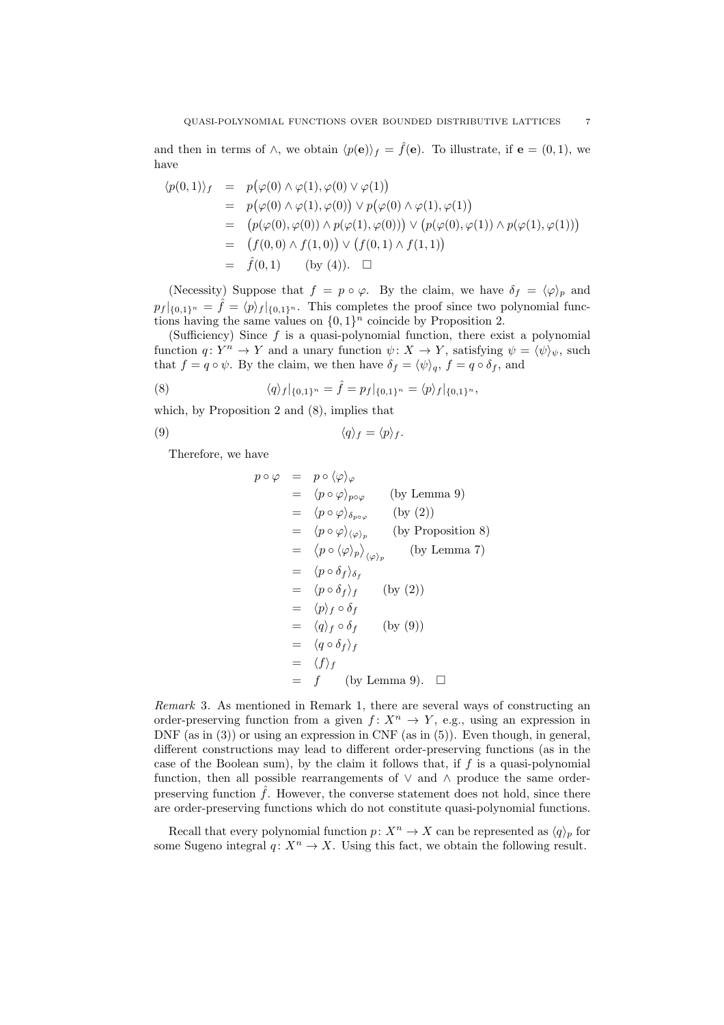and then in terms of  $\wedge$ , we obtain  $\langle p(\mathbf{e})\rangle_f = \hat{f}(\mathbf{e})$ . To illustrate, if  $\mathbf{e} = (0,1)$ , we have

$$
\langle p(0,1) \rangle_f = p(\varphi(0) \land \varphi(1), \varphi(0) \lor \varphi(1))
$$
  
\n
$$
= p(\varphi(0) \land \varphi(1), \varphi(0)) \lor p(\varphi(0) \land \varphi(1), \varphi(1))
$$
  
\n
$$
= (p(\varphi(0), \varphi(0)) \land p(\varphi(1), \varphi(0))) \lor (p(\varphi(0), \varphi(1)) \land p(\varphi(1), \varphi(1)))
$$
  
\n
$$
= (f(0,0) \land f(1,0)) \lor (f(0,1) \land f(1,1))
$$
  
\n
$$
= \hat{f}(0,1) \qquad \text{(by (4))}.\quad \Box
$$

(Necessity) Suppose that  $f = p \circ \varphi$ . By the claim, we have  $\delta_f = \langle \varphi \rangle_p$  and  $p_f |_{\{0,1\}^n} = \hat{f} = \langle p \rangle_f |_{\{0,1\}^n}$ . This completes the proof since two polynomial functions having the same values on  $\{0,1\}^n$  coincide by Proposition 2.

(Sufficiency) Since  $f$  is a quasi-polynomial function, there exist a polynomial function  $q: Y^n \to Y$  and a unary function  $\psi: X \to Y$ , satisfying  $\psi = \langle \psi \rangle_{\psi}$ , such that  $f = q \circ \psi$ . By the claim, we then have  $\delta_f = \langle \psi \rangle_q$ ,  $f = q \circ \delta_f$ , and

(8) 
$$
\langle q \rangle_f |_{\{0,1\}^n} = \hat{f} = p_f |_{\{0,1\}^n} = \langle p \rangle_f |_{\{0,1\}^n},
$$

which, by Proposition 2 and (8), implies that

$$
\langle q \rangle_f = \langle p \rangle_f.
$$

Therefore, we have

$$
p \circ \varphi = p \circ \langle \varphi \rangle_{\varphi}
$$
  
\n
$$
= \langle p \circ \varphi \rangle_{p \circ \varphi}
$$
 (by Lemma 9)  
\n
$$
= \langle p \circ \varphi \rangle_{\delta_{p \circ \varphi}}
$$
 (by (2))  
\n
$$
= \langle p \circ \varphi \rangle_{\langle \varphi \rangle_p}
$$
 (by Proposition 8)  
\n
$$
= \langle p \circ \langle \varphi \rangle_p \rangle_{\langle \varphi \rangle_p}
$$
 (by Lemma 7)  
\n
$$
= \langle p \circ \delta_f \rangle_{\delta_f}
$$
  
\n
$$
= \langle p \circ \delta_f \rangle_f
$$
 (by (2))  
\n
$$
= \langle p \rangle_f \circ \delta_f
$$
  
\n
$$
= \langle q \rangle_f \circ \delta_f
$$
 (by (9))  
\n
$$
= \langle q \circ \delta_f \rangle_f
$$
  
\n
$$
= \langle f \rangle_f
$$
  
\n
$$
= f
$$
 (by Lemma 9).  $\Box$ 

Remark 3. As mentioned in Remark 1, there are several ways of constructing an order-preserving function from a given  $f: X^n \to Y$ , e.g., using an expression in DNF (as in  $(3)$ ) or using an expression in CNF (as in  $(5)$ ). Even though, in general, different constructions may lead to different order-preserving functions (as in the case of the Boolean sum), by the claim it follows that, if  $f$  is a quasi-polynomial function, then all possible rearrangements of  $\vee$  and  $\wedge$  produce the same orderpreserving function  $\hat{f}$ . However, the converse statement does not hold, since there are order-preserving functions which do not constitute quasi-polynomial functions.

Recall that every polynomial function  $p: X^n \to X$  can be represented as  $\langle q \rangle_p$  for some Sugeno integral  $q: X^n \to X$ . Using this fact, we obtain the following result.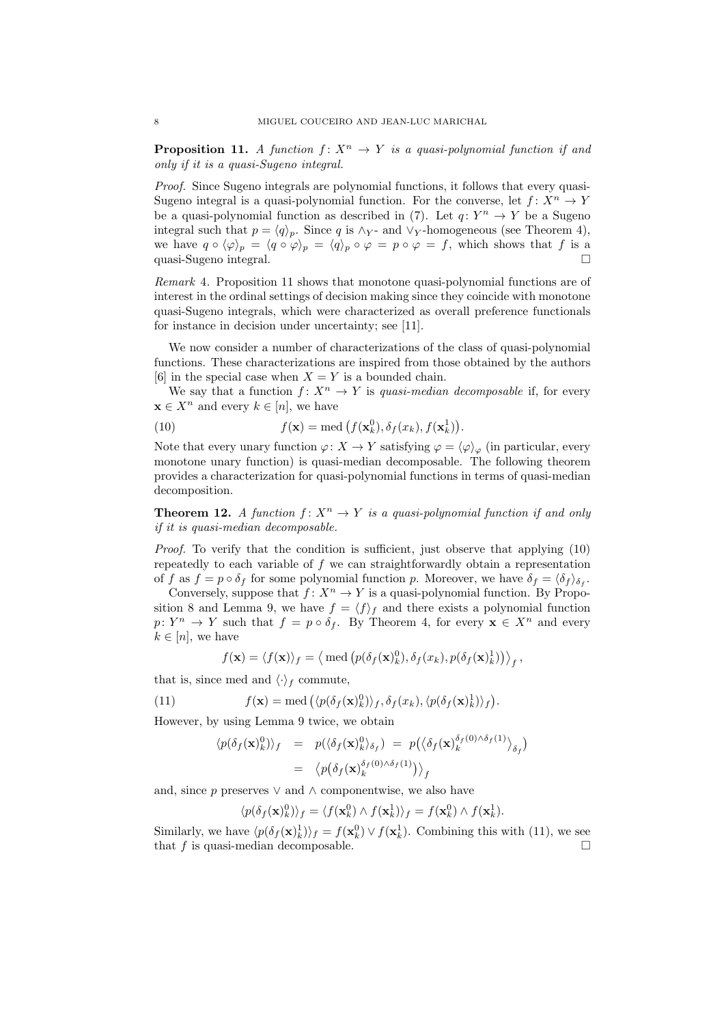**Proposition 11.** A function  $f: X^n \to Y$  is a quasi-polynomial function if and only if it is a quasi-Sugeno integral.

Proof. Since Sugeno integrals are polynomial functions, it follows that every quasi-Sugeno integral is a quasi-polynomial function. For the converse, let  $f: X^n \to Y$ be a quasi-polynomial function as described in (7). Let  $q: Y^n \to Y$  be a Sugeno integral such that  $p = \langle q \rangle_p$ . Since q is ∧y- and ∨y-homogeneous (see Theorem 4), we have  $q \circ \langle \varphi \rangle_p = \langle q \circ \varphi \rangle_p = \langle q \rangle_p \circ \varphi = p \circ \varphi = f$ , which shows that f is a quasi-Sugeno integral. ¤

Remark 4. Proposition 11 shows that monotone quasi-polynomial functions are of interest in the ordinal settings of decision making since they coincide with monotone quasi-Sugeno integrals, which were characterized as overall preference functionals for instance in decision under uncertainty; see [11].

We now consider a number of characterizations of the class of quasi-polynomial functions. These characterizations are inspired from those obtained by the authors [6] in the special case when  $X = Y$  is a bounded chain.

We say that a function  $f: X^n \to Y$  is quasi-median decomposable if, for every  $\mathbf{x} \in X^n$  and every  $k \in [n]$ , we have

(10) 
$$
f(\mathbf{x}) = \text{med} \left( f(\mathbf{x}_k^0), \delta_f(x_k), f(\mathbf{x}_k^1) \right).
$$

Note that every unary function  $\varphi: X \to Y$  satisfying  $\varphi = \langle \varphi \rangle_{\varphi}$  (in particular, every monotone unary function) is quasi-median decomposable. The following theorem provides a characterization for quasi-polynomial functions in terms of quasi-median decomposition.

**Theorem 12.** A function  $f: X^n \to Y$  is a quasi-polynomial function if and only if it is quasi-median decomposable.

Proof. To verify that the condition is sufficient, just observe that applying (10) repeatedly to each variable of  $f$  we can straightforwardly obtain a representation of f as  $f = p \circ \delta_f$  for some polynomial function p. Moreover, we have  $\delta_f = \langle \delta_f \rangle_{\delta_f}$ .

Conversely, suppose that  $f: X^n \to Y$  is a quasi-polynomial function. By Proposition 8 and Lemma 9, we have  $f = \langle f \rangle_f$  and there exists a polynomial function  $p: Y^n \to Y$  such that  $f = p \circ \delta_f$ . By Theorem 4, for every  $\mathbf{x} \in X^n$  and every  $k \in [n]$ , we have

$$
f(\mathbf{x}) = \langle f(\mathbf{x}) \rangle_f = \langle \text{ med } (p(\delta_f(\mathbf{x})_k^0), \delta_f(x_k), p(\delta_f(\mathbf{x})_k^1)) \rangle_f,
$$

that is, since med and  $\langle \cdot \rangle_f$  commute,

(11) 
$$
f(\mathbf{x}) = \text{med} \left( \langle p(\delta_f(\mathbf{x})_k^0) \rangle_f, \delta_f(x_k), \langle p(\delta_f(\mathbf{x})_k^1) \rangle_f \right).
$$

However, by using Lemma 9 twice, we obtain

$$
\langle p(\delta_f(\mathbf{x})_k^0) \rangle_f = p(\langle \delta_f(\mathbf{x})_k^0 \rangle_{\delta_f}) = p(\langle \delta_f(\mathbf{x})_k^{\delta_f(0) \wedge \delta_f(1)} \rangle_{\delta_f})
$$
  
= 
$$
\langle p(\delta_f(\mathbf{x})_k^{\delta_f(0) \wedge \delta_f(1)}) \rangle_f
$$

and, since p preserves  $\vee$  and  $\wedge$  componentwise, we also have

$$
\langle p(\delta_f(\mathbf{x})_k^0) \rangle_f = \langle f(\mathbf{x}_k^0) \wedge f(\mathbf{x}_k^1) \rangle_f = f(\mathbf{x}_k^0) \wedge f(\mathbf{x}_k^1).
$$

Similarly, we have  $\langle p(\delta_f(\mathbf{x})_k^1) \rangle_f = f(\mathbf{x}_k^0) \vee f(\mathbf{x}_k^1)$ . Combining this with (11), we see that f is quasi-median decomposable.  $\Box$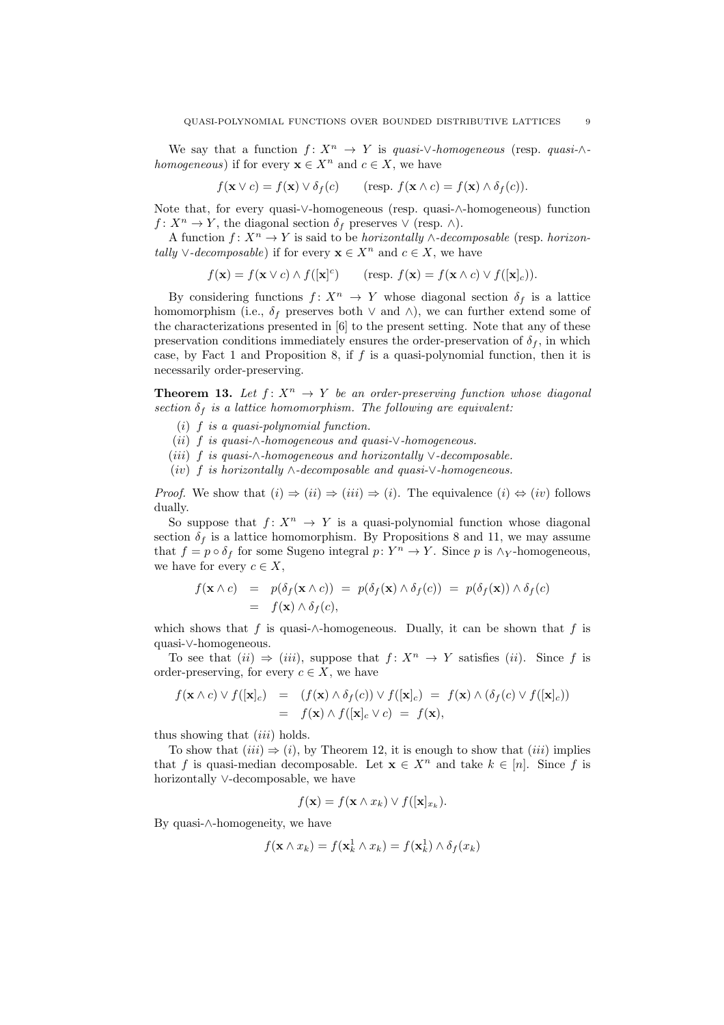We say that a function  $f: X^n \to Y$  is quasi-∨-homogeneous (resp. quasi-∧homogeneous) if for every  $\mathbf{x} \in X^n$  and  $c \in X$ , we have

$$
f(\mathbf{x} \vee c) = f(\mathbf{x}) \vee \delta_f(c) \qquad (\text{resp. } f(\mathbf{x} \wedge c) = f(\mathbf{x}) \wedge \delta_f(c)).
$$

Note that, for every quasi-∨-homogeneous (resp. quasi-∧-homogeneous) function  $f: X^n \to Y$ , the diagonal section  $\delta_f$  preserves  $\vee$  (resp.  $\wedge$ ).

A function  $f: X^n \to Y$  is said to be *horizontally*  $\wedge$ -decomposable (resp. *horizon*tally  $\vee$ -decomposable) if for every  $\mathbf{x} \in X^n$  and  $c \in X$ , we have

$$
f(\mathbf{x}) = f(\mathbf{x} \vee c) \wedge f([\mathbf{x}]^c) \qquad (\text{resp. } f(\mathbf{x}) = f(\mathbf{x} \wedge c) \vee f([\mathbf{x}]_c)).
$$

By considering functions  $f: X^n \to Y$  whose diagonal section  $\delta_f$  is a lattice homomorphism (i.e.,  $\delta_f$  preserves both  $\vee$  and  $\wedge$ ), we can further extend some of the characterizations presented in [6] to the present setting. Note that any of these preservation conditions immediately ensures the order-preservation of  $\delta_f$ , in which case, by Fact 1 and Proposition 8, if  $f$  is a quasi-polynomial function, then it is necessarily order-preserving.

**Theorem 13.** Let  $f: X^n \to Y$  be an order-preserving function whose diagonal section  $\delta_f$  is a lattice homomorphism. The following are equivalent:

- (i)  $f$  is a quasi-polynomial function.
- (ii) f is quasi-∧-homogeneous and quasi-∨-homogeneous.
- (iii) f is quasi-∧-homogeneous and horizontally  $\vee$ -decomposable.
- $(iv)$  f is horizontally ∧-decomposable and quasi- $\vee$ -homogeneous.

*Proof.* We show that  $(i) \Rightarrow (ii) \Rightarrow (iii) \Rightarrow (i)$ . The equivalence  $(i) \Leftrightarrow (iv)$  follows dually.

So suppose that  $f: X^n \to Y$  is a quasi-polynomial function whose diagonal section  $\delta_f$  is a lattice homomorphism. By Propositions 8 and 11, we may assume that  $f = p \circ \delta_f$  for some Sugeno integral  $p: Y^n \to Y$ . Since p is  $\wedge_Y$ -homogeneous, we have for every  $c \in X$ ,

$$
f(\mathbf{x} \wedge c) = p(\delta_f(\mathbf{x} \wedge c)) = p(\delta_f(\mathbf{x}) \wedge \delta_f(c)) = p(\delta_f(\mathbf{x})) \wedge \delta_f(c)
$$
  
=  $f(\mathbf{x}) \wedge \delta_f(c)$ ,

which shows that f is quasi-∧-homogeneous. Dually, it can be shown that f is quasi-∨-homogeneous.

To see that  $(ii) \Rightarrow (iii)$ , suppose that  $f: X^n \to Y$  satisfies  $(ii)$ . Since f is order-preserving, for every  $c \in X$ , we have

$$
f(\mathbf{x} \wedge c) \vee f([\mathbf{x}]_c) = (f(\mathbf{x}) \wedge \delta_f(c)) \vee f([\mathbf{x}]_c) = f(\mathbf{x}) \wedge (\delta_f(c) \vee f([\mathbf{x}]_c))
$$
  
=  $f(\mathbf{x}) \wedge f([\mathbf{x}]_c \vee c) = f(\mathbf{x}),$ 

thus showing that  $(iii)$  holds.

To show that  $(iii) \Rightarrow (i)$ , by Theorem 12, it is enough to show that  $(iii)$  implies that f is quasi-median decomposable. Let  $\mathbf{x} \in X^n$  and take  $k \in [n]$ . Since f is horizontally ∨-decomposable, we have

$$
f(\mathbf{x}) = f(\mathbf{x} \wedge x_k) \vee f([\mathbf{x}]_{x_k}).
$$

By quasi-∧-homogeneity, we have

$$
f(\mathbf{x} \wedge x_k) = f(\mathbf{x}_k^1 \wedge x_k) = f(\mathbf{x}_k^1) \wedge \delta_f(x_k)
$$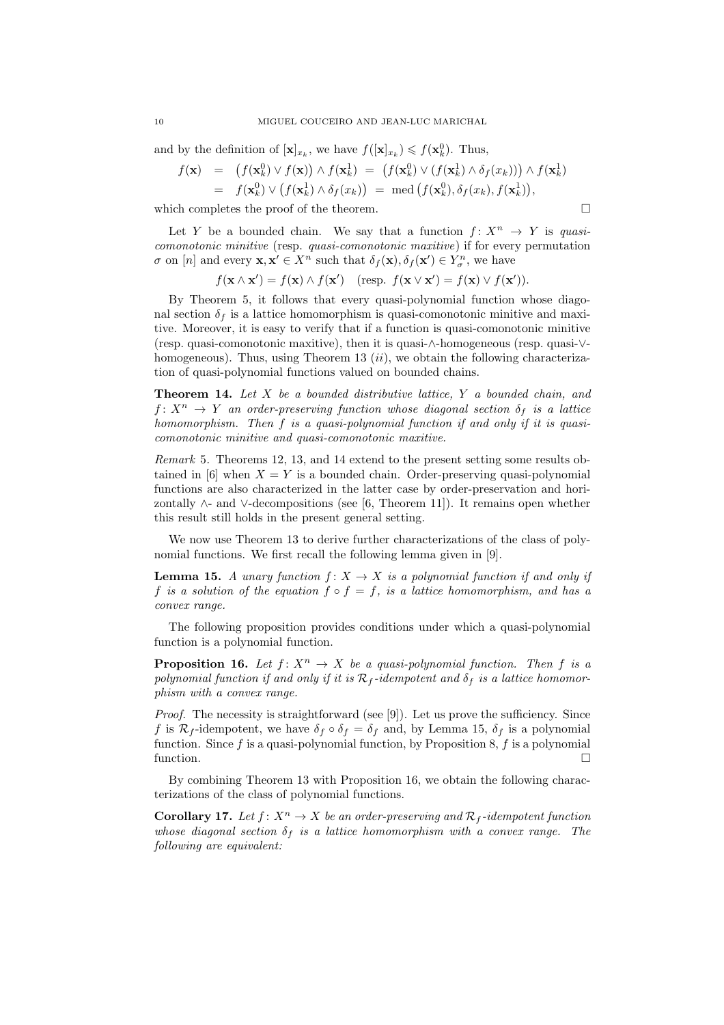and by the definition of  $[\mathbf{x}]_{x_k}$ , we have  $f([\mathbf{x}]_{x_k}) \leqslant f(\mathbf{x}_k^0)$ . Thus,

$$
f(\mathbf{x}) = (f(\mathbf{x}_k^0) \vee f(\mathbf{x})) \wedge f(\mathbf{x}_k^1) = (f(\mathbf{x}_k^0) \vee (f(\mathbf{x}_k^1) \wedge \delta_f(x_k))) \wedge f(\mathbf{x}_k^1)
$$
  
=  $f(\mathbf{x}_k^0) \vee (f(\mathbf{x}_k^1) \wedge \delta_f(x_k)) = \text{med } (f(\mathbf{x}_k^0), \delta_f(x_k), f(\mathbf{x}_k^1)),$ 

which completes the proof of the theorem.  $\Box$ 

Let Y be a bounded chain. We say that a function  $f: X^n \to Y$  is quasicomonotonic minitive (resp. quasi-comonotonic maxitive) if for every permutation  $\sigma$  on [n] and every  $\mathbf{x}, \mathbf{x}' \in X^n$  such that  $\delta_f(\mathbf{x}), \delta_f(\mathbf{x}') \in Y^n_{\sigma}$ , we have

 $f(\mathbf{x} \wedge \mathbf{x}') = f(\mathbf{x}) \wedge f(\mathbf{x}')$  (resp.  $f(\mathbf{x} \vee \mathbf{x}') = f(\mathbf{x}) \vee f(\mathbf{x}')).$ 

By Theorem 5, it follows that every quasi-polynomial function whose diagonal section  $\delta_f$  is a lattice homomorphism is quasi-comonotonic minitive and maxitive. Moreover, it is easy to verify that if a function is quasi-comonotonic minitive (resp. quasi-comonotonic maxitive), then it is quasi-∧-homogeneous (resp. quasi-∨ homogeneous). Thus, using Theorem 13  $(ii)$ , we obtain the following characterization of quasi-polynomial functions valued on bounded chains.

**Theorem 14.** Let  $X$  be a bounded distributive lattice,  $Y$  a bounded chain, and  $f: X^n \to Y$  an order-preserving function whose diagonal section  $\delta_f$  is a lattice homomorphism. Then f is a quasi-polynomial function if and only if it is quasicomonotonic minitive and quasi-comonotonic maxitive.

Remark 5. Theorems 12, 13, and 14 extend to the present setting some results obtained in [6] when  $X = Y$  is a bounded chain. Order-preserving quasi-polynomial functions are also characterized in the latter case by order-preservation and horizontally  $\wedge$ - and  $\vee$ -decompositions (see [6, Theorem 11]). It remains open whether this result still holds in the present general setting.

We now use Theorem 13 to derive further characterizations of the class of polynomial functions. We first recall the following lemma given in [9].

**Lemma 15.** A unary function  $f: X \to X$  is a polynomial function if and only if f is a solution of the equation  $f \circ f = f$ , is a lattice homomorphism, and has a convex range.

The following proposition provides conditions under which a quasi-polynomial function is a polynomial function.

**Proposition 16.** Let  $f: X^n \to X$  be a quasi-polynomial function. Then f is a polynomial function if and only if it is  $\mathcal{R}_f$ -idempotent and  $\delta_f$  is a lattice homomorphism with a convex range.

Proof. The necessity is straightforward (see [9]). Let us prove the sufficiency. Since f is  $\mathcal{R}_f$ -idempotent, we have  $\delta_f \circ \delta_f = \delta_f$  and, by Lemma 15,  $\delta_f$  is a polynomial function. Since f is a quasi-polynomial function, by Proposition 8, f is a polynomial function.

By combining Theorem 13 with Proposition 16, we obtain the following characterizations of the class of polynomial functions.

**Corollary 17.** Let  $f: X^n \to X$  be an order-preserving and  $\mathcal{R}_f$ -idempotent function whose diagonal section  $\delta_f$  is a lattice homomorphism with a convex range. The following are equivalent: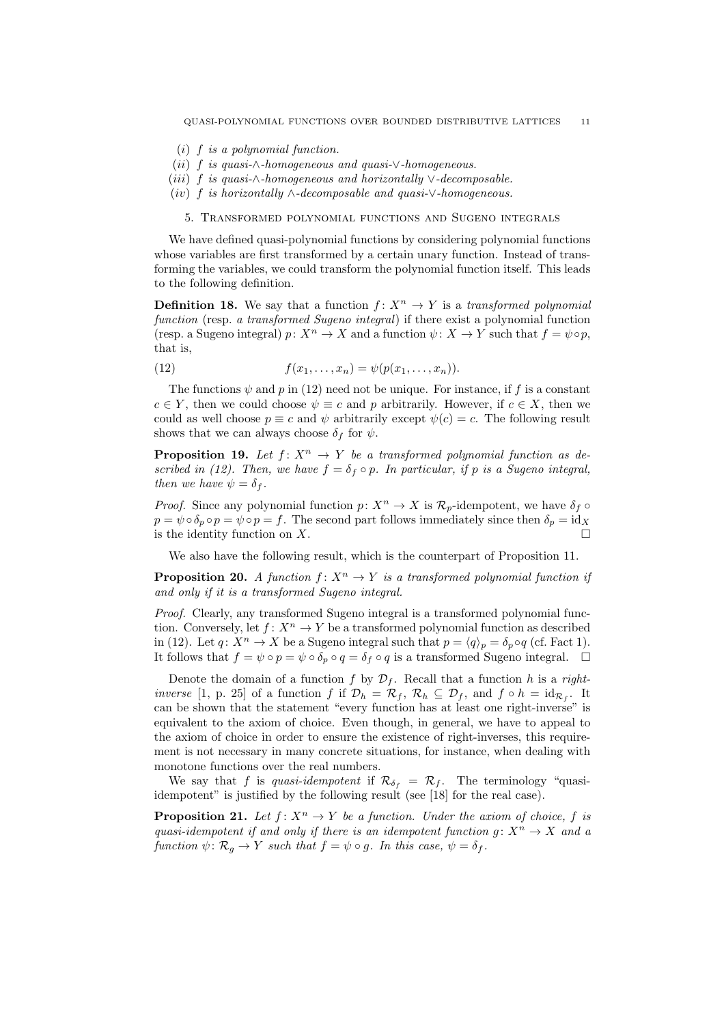- (i) f is a polynomial function.
- (ii) f is quasi-∧-homogeneous and quasi-∨-homogeneous.
- (iii) f is quasi- $\wedge$ -homogeneous and horizontally  $\vee$ -decomposable.
- (iv) f is horizontally ∧-decomposable and quasi- $\vee$ -homogeneous.

## 5. Transformed polynomial functions and Sugeno integrals

We have defined quasi-polynomial functions by considering polynomial functions whose variables are first transformed by a certain unary function. Instead of transforming the variables, we could transform the polynomial function itself. This leads to the following definition.

**Definition 18.** We say that a function  $f: X^n \to Y$  is a transformed polynomial function (resp. a transformed Sugeno integral) if there exist a polynomial function (resp. a Sugeno integral)  $p: X^n \to X$  and a function  $\psi: X \to Y$  such that  $f = \psi \circ p$ , that is,

(12) 
$$
f(x_1,...,x_n) = \psi(p(x_1,...,x_n)).
$$

The functions  $\psi$  and p in (12) need not be unique. For instance, if f is a constant  $c \in Y$ , then we could choose  $\psi \equiv c$  and p arbitrarily. However, if  $c \in X$ , then we could as well choose  $p \equiv c$  and  $\psi$  arbitrarily except  $\psi(c) = c$ . The following result shows that we can always choose  $\delta_f$  for  $\psi$ .

**Proposition 19.** Let  $f: X^n \to Y$  be a transformed polynomial function as described in (12). Then, we have  $f = \delta_f \circ p$ . In particular, if p is a Sugeno integral, then we have  $\psi = \delta_f$ .

*Proof.* Since any polynomial function  $p: X^n \to X$  is  $\mathcal{R}_p$ -idempotent, we have  $\delta_f \circ$  $p = \psi \circ \delta_p \circ p = \psi \circ p = f$ . The second part follows immediately since then  $\delta_p = id_X$ is the identity function on  $X$ .

We also have the following result, which is the counterpart of Proposition 11.

**Proposition 20.** A function  $f: X^n \to Y$  is a transformed polynomial function if and only if it is a transformed Sugeno integral.

Proof. Clearly, any transformed Sugeno integral is a transformed polynomial function. Conversely, let  $f: X^n \to Y$  be a transformed polynomial function as described in (12). Let  $q: X^n \to X$  be a Sugeno integral such that  $p = \langle q \rangle_p = \delta_p \circ q$  (cf. Fact 1). It follows that  $f = \psi \circ p = \psi \circ \delta_p \circ q = \delta_f \circ q$  is a transformed Sugeno integral.  $\Box$ 

Denote the domain of a function f by  $\mathcal{D}_f$ . Recall that a function h is a right*inverse* [1, p. 25] of a function f if  $\mathcal{D}_h = \mathcal{R}_f$ ,  $\mathcal{R}_h \subseteq \mathcal{D}_f$ , and  $f \circ h = \mathrm{id}_{\mathcal{R}_f}$ . It can be shown that the statement "every function has at least one right-inverse" is equivalent to the axiom of choice. Even though, in general, we have to appeal to the axiom of choice in order to ensure the existence of right-inverses, this requirement is not necessary in many concrete situations, for instance, when dealing with monotone functions over the real numbers.

We say that f is quasi-idempotent if  $\mathcal{R}_{\delta_f} = \mathcal{R}_f$ . The terminology "quasiidempotent" is justified by the following result (see [18] for the real case).

**Proposition 21.** Let  $f: X^n \to Y$  be a function. Under the axiom of choice, f is quasi-idempotent if and only if there is an idempotent function  $g: X^n \to X$  and a function  $\psi \colon \mathcal{R}_q \to Y$  such that  $f = \psi \circ g$ . In this case,  $\psi = \delta_f$ .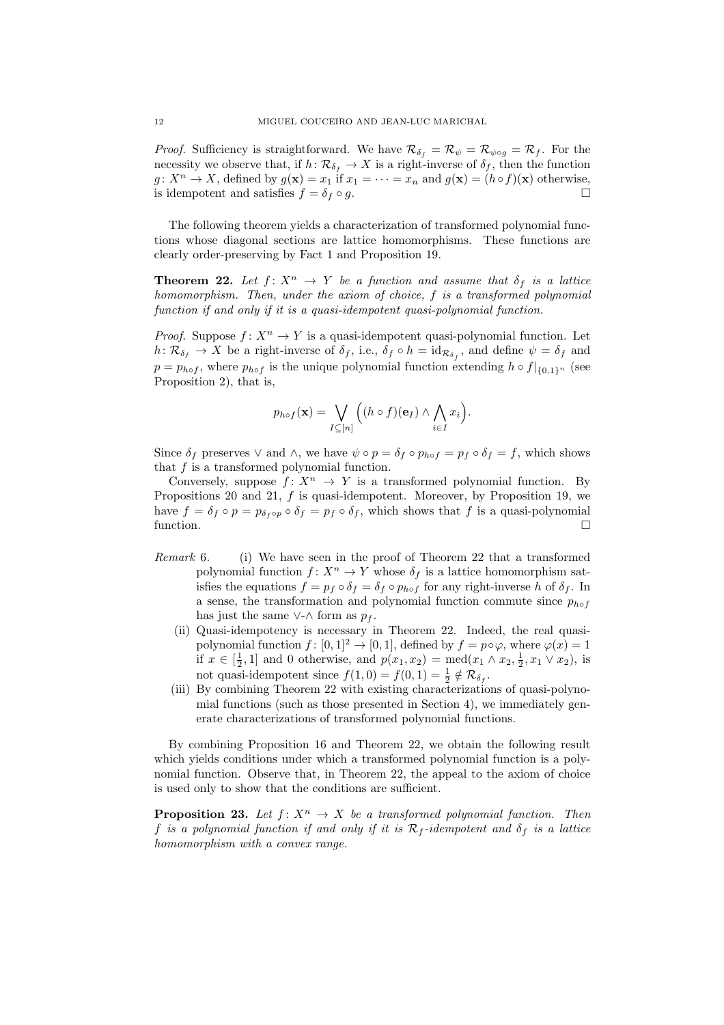*Proof.* Sufficiency is straightforward. We have  $\mathcal{R}_{\delta_f} = \mathcal{R}_{\psi} = \mathcal{R}_{\psi \circ g} = \mathcal{R}_f$ . For the necessity we observe that, if  $h: \mathcal{R}_{\delta_f} \to X$  is a right-inverse of  $\delta_f$ , then the function  $g: X^n \to X$ , defined by  $g(\mathbf{x}) = x_1$  if  $x_1 = \cdots = x_n$  and  $g(\mathbf{x}) = (h \circ f)(\mathbf{x})$  otherwise, is idempotent and satisfies  $f = \delta_f \circ g$ .

The following theorem yields a characterization of transformed polynomial functions whose diagonal sections are lattice homomorphisms. These functions are clearly order-preserving by Fact 1 and Proposition 19.

**Theorem 22.** Let  $f: X^n \to Y$  be a function and assume that  $\delta_f$  is a lattice homomorphism. Then, under the axiom of choice, f is a transformed polynomial function if and only if it is a quasi-idempotent quasi-polynomial function.

*Proof.* Suppose  $f: X^n \to Y$  is a quasi-idempotent quasi-polynomial function. Let  $h: \mathcal{R}_{\delta_f} \to X$  be a right-inverse of  $\delta_f$ , i.e.,  $\delta_f \circ h = \mathrm{id}_{\mathcal{R}_{\delta_f}}$ , and define  $\psi = \delta_f$  and  $p = p_{h \circ f}$ , where  $p_{h \circ f}$  is the unique polynomial function extending  $h \circ f|_{\{0,1\}^n}$  (see Proposition 2), that is,

$$
p_{h\circ f}(\mathbf{x}) = \bigvee_{I \subseteq [n]} \Big( (h \circ f)(\mathbf{e}_I) \wedge \bigwedge_{i \in I} x_i \Big).
$$

Since  $\delta_f$  preserves  $\vee$  and  $\wedge$ , we have  $\psi \circ p = \delta_f \circ p_{h \circ f} = p_f \circ \delta_f = f$ , which shows that  $f$  is a transformed polynomial function.

Conversely, suppose  $f: X^n \to Y$  is a transformed polynomial function. By Propositions 20 and 21, f is quasi-idempotent. Moreover, by Proposition 19, we have  $f = \delta_f \circ p = p_{\delta_f \circ p} \circ \delta_f = p_f \circ \delta_f$ , which shows that f is a quasi-polynomial function.  $\Box$ 

- Remark 6. (i) We have seen in the proof of Theorem 22 that a transformed polynomial function  $f: X^n \to Y$  whose  $\delta_f$  is a lattice homomorphism satisfies the equations  $f = p_f \circ \delta_f = \delta_f \circ p_{h \circ f}$  for any right-inverse h of  $\delta_f$ . In a sense, the transformation and polynomial function commute since  $p_{h \circ f}$ has just the same ∨-∧ form as  $p_f$ .
	- (ii) Quasi-idempotency is necessary in Theorem 22. Indeed, the real quasipolynomial function  $f : [0, 1]^2 \to [0, 1]$ , defined by  $f = p \circ \varphi$ , where  $\varphi(x) = 1$ if  $x \in [\frac{1}{2}, 1]$  and 0 otherwise, and  $p(x_1, x_2) = \text{med}(x_1 \wedge x_2, \frac{1}{2}, x_1 \vee x_2)$ , is not quasi-idempotent since  $f(1,0) = f(0,1) = \frac{1}{2} \notin \mathcal{R}_{\delta_f}$ .
	- (iii) By combining Theorem 22 with existing characterizations of quasi-polynomial functions (such as those presented in Section 4), we immediately generate characterizations of transformed polynomial functions.

By combining Proposition 16 and Theorem 22, we obtain the following result which yields conditions under which a transformed polynomial function is a polynomial function. Observe that, in Theorem 22, the appeal to the axiom of choice is used only to show that the conditions are sufficient.

**Proposition 23.** Let  $f: X^n \to X$  be a transformed polynomial function. Then f is a polynomial function if and only if it is  $\mathcal{R}_f$ -idempotent and  $\delta_f$  is a lattice homomorphism with a convex range.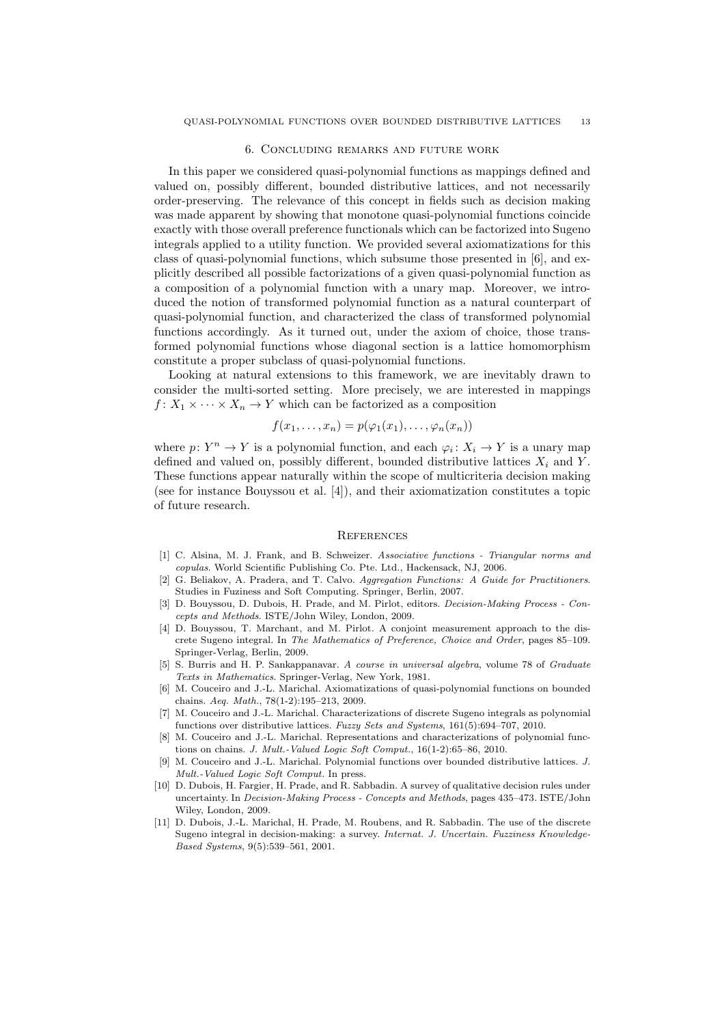### 6. Concluding remarks and future work

In this paper we considered quasi-polynomial functions as mappings defined and valued on, possibly different, bounded distributive lattices, and not necessarily order-preserving. The relevance of this concept in fields such as decision making was made apparent by showing that monotone quasi-polynomial functions coincide exactly with those overall preference functionals which can be factorized into Sugeno integrals applied to a utility function. We provided several axiomatizations for this class of quasi-polynomial functions, which subsume those presented in [6], and explicitly described all possible factorizations of a given quasi-polynomial function as a composition of a polynomial function with a unary map. Moreover, we introduced the notion of transformed polynomial function as a natural counterpart of quasi-polynomial function, and characterized the class of transformed polynomial functions accordingly. As it turned out, under the axiom of choice, those transformed polynomial functions whose diagonal section is a lattice homomorphism constitute a proper subclass of quasi-polynomial functions.

Looking at natural extensions to this framework, we are inevitably drawn to consider the multi-sorted setting. More precisely, we are interested in mappings  $f: X_1 \times \cdots \times X_n \to Y$  which can be factorized as a composition

$$
f(x_1,\ldots,x_n)=p(\varphi_1(x_1),\ldots,\varphi_n(x_n))
$$

where  $p: Y^n \to Y$  is a polynomial function, and each  $\varphi_i: X_i \to Y$  is a unary map defined and valued on, possibly different, bounded distributive lattices  $X_i$  and Y. These functions appear naturally within the scope of multicriteria decision making (see for instance Bouyssou et al. [4]), and their axiomatization constitutes a topic of future research.

#### **REFERENCES**

- [1] C. Alsina, M. J. Frank, and B. Schweizer. Associative functions Triangular norms and copulas. World Scientific Publishing Co. Pte. Ltd., Hackensack, NJ, 2006.
- [2] G. Beliakov, A. Pradera, and T. Calvo. Aggregation Functions: A Guide for Practitioners. Studies in Fuziness and Soft Computing. Springer, Berlin, 2007.
- [3] D. Bouyssou, D. Dubois, H. Prade, and M. Pirlot, editors. *Decision-Making Process Con*cepts and Methods. ISTE/John Wiley, London, 2009.
- [4] D. Bouyssou, T. Marchant, and M. Pirlot. A conjoint measurement approach to the discrete Sugeno integral. In The Mathematics of Preference, Choice and Order, pages 85–109. Springer-Verlag, Berlin, 2009.
- [5] S. Burris and H. P. Sankappanavar. A course in universal algebra, volume 78 of Graduate Texts in Mathematics. Springer-Verlag, New York, 1981.
- [6] M. Couceiro and J.-L. Marichal. Axiomatizations of quasi-polynomial functions on bounded chains. Aeq. Math., 78(1-2):195–213, 2009.
- [7] M. Couceiro and J.-L. Marichal. Characterizations of discrete Sugeno integrals as polynomial functions over distributive lattices. Fuzzy Sets and Systems, 161(5):694–707, 2010.
- [8] M. Couceiro and J.-L. Marichal. Representations and characterizations of polynomial functions on chains. J. Mult.-Valued Logic Soft Comput., 16(1-2):65–86, 2010.
- [9] M. Couceiro and J.-L. Marichal. Polynomial functions over bounded distributive lattices. J. Mult.-Valued Logic Soft Comput. In press.
- [10] D. Dubois, H. Fargier, H. Prade, and R. Sabbadin. A survey of qualitative decision rules under uncertainty. In Decision-Making Process - Concepts and Methods, pages 435–473. ISTE/John Wiley, London, 2009.
- [11] D. Dubois, J.-L. Marichal, H. Prade, M. Roubens, and R. Sabbadin. The use of the discrete Sugeno integral in decision-making: a survey. Internat. J. Uncertain. Fuzziness Knowledge-Based Systems, 9(5):539–561, 2001.